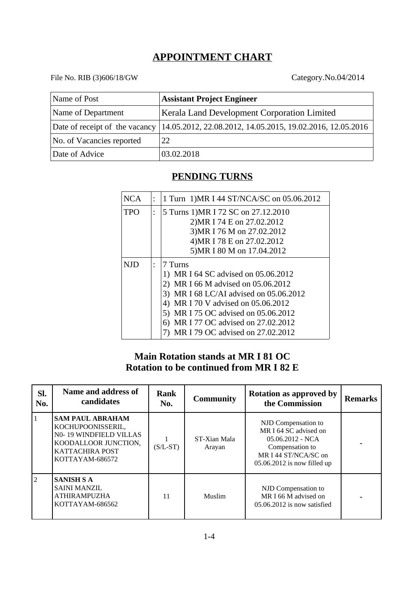# **APPOINTMENT CHART**

## File No. RIB (3)606/18/GW Category.No.04/2014

| Name of Post              | <b>Assistant Project Engineer</b>                                                         |
|---------------------------|-------------------------------------------------------------------------------------------|
| Name of Department        | <b>Kerala Land Development Corporation Limited</b>                                        |
|                           | Date of receipt of the vacancy 14.05.2012, 22.08.2012, 14.05.2015, 19.02.2016, 12.05.2016 |
| No. of Vacancies reported | 22                                                                                        |
| Date of Advice            | 03.02.2018                                                                                |

## **PENDING TURNS**

| <b>NCA</b> | 1 Turn 1) MR I 44 ST/NCA/SC on 05.06.2012                         |
|------------|-------------------------------------------------------------------|
| <b>TPO</b> | 5 Turns 1) MR I 72 SC on 27.12.2010<br>2) MR I 74 E on 27.02.2012 |
|            | 3) MR I 76 M on 27.02.2012                                        |
|            | 4) MR I 78 E on 27.02.2012                                        |
|            | 5) MR I 80 M on 17.04.2012                                        |
| NID        | 7 Turns                                                           |
|            | 1) MR I 64 SC advised on 05.06.2012                               |
|            | 2) MR I 66 M advised on 05.06.2012                                |
|            | 3) MR I 68 LC/AI advised on 05.06.2012                            |
|            | MR I 70 V advised on 05.06.2012<br>4)                             |
|            | MR I 75 OC advised on 05.06.2012                                  |
|            | MR I 77 OC advised on 27.02.2012<br>6)                            |
|            | MR I 79 OC advised on 27.02.2012                                  |

## **Main Rotation stands at MR I 81 OC Rotation to be continued from MR I 82 E**

| SI.<br>No.     | <b>Name and address of</b><br>candidates                                                                                             | Rank<br>No. | <b>Community</b>       | <b>Rotation as approved by</b><br>the Commission                                                                                             | <b>Remarks</b> |
|----------------|--------------------------------------------------------------------------------------------------------------------------------------|-------------|------------------------|----------------------------------------------------------------------------------------------------------------------------------------------|----------------|
| $\vert$ 1      | <b>SAM PAUL ABRAHAM</b><br>KOCHUPOONISSERIL,<br>N0-19 WINDFIELD VILLAS<br>KOODALLOOR JUNCTION,<br>KATTACHIRA POST<br>KOTTAYAM-686572 | $(S/L-ST)$  | ST-Xian Mala<br>Arayan | NJD Compensation to<br>MR I 64 SC advised on<br>05.06.2012 - NCA<br>Compensation to<br>MR I 44 ST/NCA/SC on<br>$05.06.2012$ is now filled up |                |
| $\overline{2}$ | <b>SANISH S A</b><br><b>SAINI MANZIL</b><br><b>ATHIRAMPUZHA</b><br>KOTTAYAM-686562                                                   | 11          | Muslim                 | NJD Compensation to<br>MR I 66 M advised on<br>05.06.2012 is now satisfied                                                                   |                |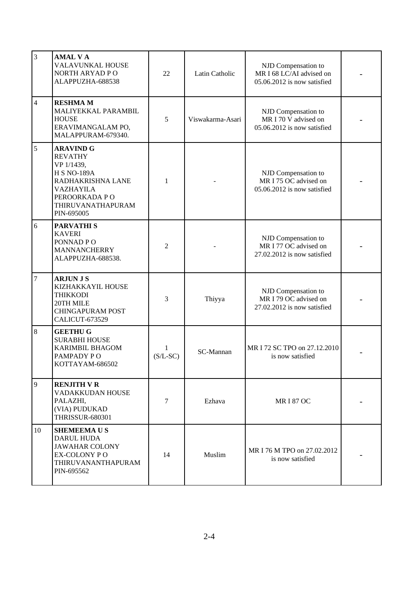| $\overline{3}$ | <b>AMAL VA</b><br><b>VALAVUNKAL HOUSE</b><br>NORTH ARYAD PO<br>ALAPPUZHA-688538                                                                              | 22                         | Latin Catholic   | NJD Compensation to<br>MR I 68 LC/AI advised on<br>05.06.2012 is now satisfied |  |
|----------------|--------------------------------------------------------------------------------------------------------------------------------------------------------------|----------------------------|------------------|--------------------------------------------------------------------------------|--|
| $\overline{4}$ | <b>RESHMAM</b><br>MALIYEKKAL PARAMBIL<br><b>HOUSE</b><br>ERAVIMANGALAM PO,<br>MALAPPURAM-679340.                                                             | 5                          | Viswakarma-Asari | NJD Compensation to<br>MR I 70 V advised on<br>05.06.2012 is now satisfied     |  |
| 5              | <b>ARAVIND G</b><br><b>REVATHY</b><br>VP 1/1439,<br><b>H S NO-189A</b><br>RADHAKRISHNA LANE<br>VAZHAYILA<br>PEROORKADA PO<br>THIRUVANATHAPURAM<br>PIN-695005 | $\mathbf{1}$               |                  | NJD Compensation to<br>MR I 75 OC advised on<br>05.06.2012 is now satisfied    |  |
| $\,6\,$        | <b>PARVATHIS</b><br><b>KAVERI</b><br>PONNAD PO<br><b>MANNANCHERRY</b><br>ALAPPUZHA-688538.                                                                   | 2                          |                  | NJD Compensation to<br>MR I 77 OC advised on<br>27.02.2012 is now satisfied    |  |
| $\overline{7}$ | <b>ARJUN J S</b><br>KIZHAKKAYIL HOUSE<br><b>THIKKODI</b><br>20TH MILE<br><b>CHINGAPURAM POST</b><br>CALICUT-673529                                           | 3                          | Thiyya           | NJD Compensation to<br>MR I 79 OC advised on<br>27.02.2012 is now satisfied    |  |
| 8              | <b>GEETHU G</b><br><b>SURABHI HOUSE</b><br><b>KARIMBIL BHAGOM</b><br>PAMPADY PO<br>KOTTAYAM-686502                                                           | $\mathbf{1}$<br>$(S/L-SC)$ | SC-Mannan        | MR I 72 SC TPO on 27.12.2010<br>is now satisfied                               |  |
| $\overline{9}$ | <b>RENJITH V R</b><br>VADAKKUDAN HOUSE<br>PALAZHI,<br>(VIA) PUDUKAD<br><b>THRISSUR-680301</b>                                                                | 7                          | Ezhava           | <b>MRI 87 OC</b>                                                               |  |
| 10             | <b>SHEMEEMAUS</b><br>DARUL HUDA<br><b>JAWAHAR COLONY</b><br>EX-COLONY PO<br>THIRUVANANTHAPURAM<br>PIN-695562                                                 | 14                         | Muslim           | MR I 76 M TPO on 27.02.2012<br>is now satisfied                                |  |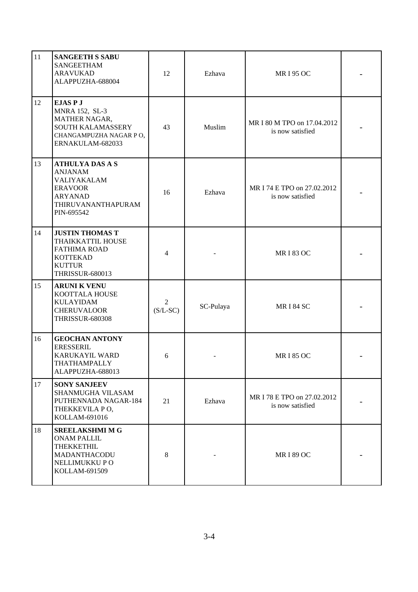| 11 | <b>SANGEETH S SABU</b><br><b>SANGEETHAM</b><br><b>ARAVUKAD</b><br>ALAPPUZHA-688004                                               | 12                           | Ezhava    | <b>MRI 95 OC</b>                                |  |
|----|----------------------------------------------------------------------------------------------------------------------------------|------------------------------|-----------|-------------------------------------------------|--|
| 12 | <b>EJASPJ</b><br>MNRA 152, SL-3<br>MATHER NAGAR,<br><b>SOUTH KALAMASSERY</b><br>CHANGAMPUZHA NAGAR PO,<br>ERNAKULAM-682033       | 43                           | Muslim    | MR I 80 M TPO on 17.04.2012<br>is now satisfied |  |
| 13 | <b>ATHULYA DAS A S</b><br><b>ANJANAM</b><br>VALIYAKALAM<br><b>ERAVOOR</b><br><b>ARYANAD</b><br>THIRUVANANTHAPURAM<br>PIN-695542  | 16                           | Ezhava    | MR I 74 E TPO on 27.02.2012<br>is now satisfied |  |
| 14 | <b>JUSTIN THOMAS T</b><br>THAIKKATTIL HOUSE<br><b>FATHIMA ROAD</b><br><b>KOTTEKAD</b><br><b>KUTTUR</b><br><b>THRISSUR-680013</b> | 4                            |           | <b>MRI 83 OC</b>                                |  |
| 15 | <b>ARUNI K VENU</b><br>KOOTTALA HOUSE<br><b>KULAYIDAM</b><br><b>CHERUVALOOR</b><br><b>THRISSUR-680308</b>                        | $\overline{2}$<br>$(S/L-SC)$ | SC-Pulaya | <b>MRI 84 SC</b>                                |  |
| 16 | <b>GEOCHAN ANTONY</b><br><b>ERESSERIL</b><br>KARUKAYIL WARD<br>THATHAMPALLY<br>ALAPPUZHA-688013                                  | 6                            |           | <b>MRI 85 OC</b>                                |  |
| 17 | <b>SONY SANJEEV</b><br>SHANMUGHA VILASAM<br>PUTHENNADA NAGAR-184<br>THEKKEVILA PO,<br>KOLLAM-691016                              | 21                           | Ezhava    | MR I 78 E TPO on 27.02.2012<br>is now satisfied |  |
| 18 | <b>SREELAKSHMI M G</b><br><b>ONAM PALLIL</b><br>THEKKETHIL<br>MADANTHACODU<br>NELLIMUKKU PO<br>KOLLAM-691509                     | 8                            |           | <b>MRI 89 OC</b>                                |  |